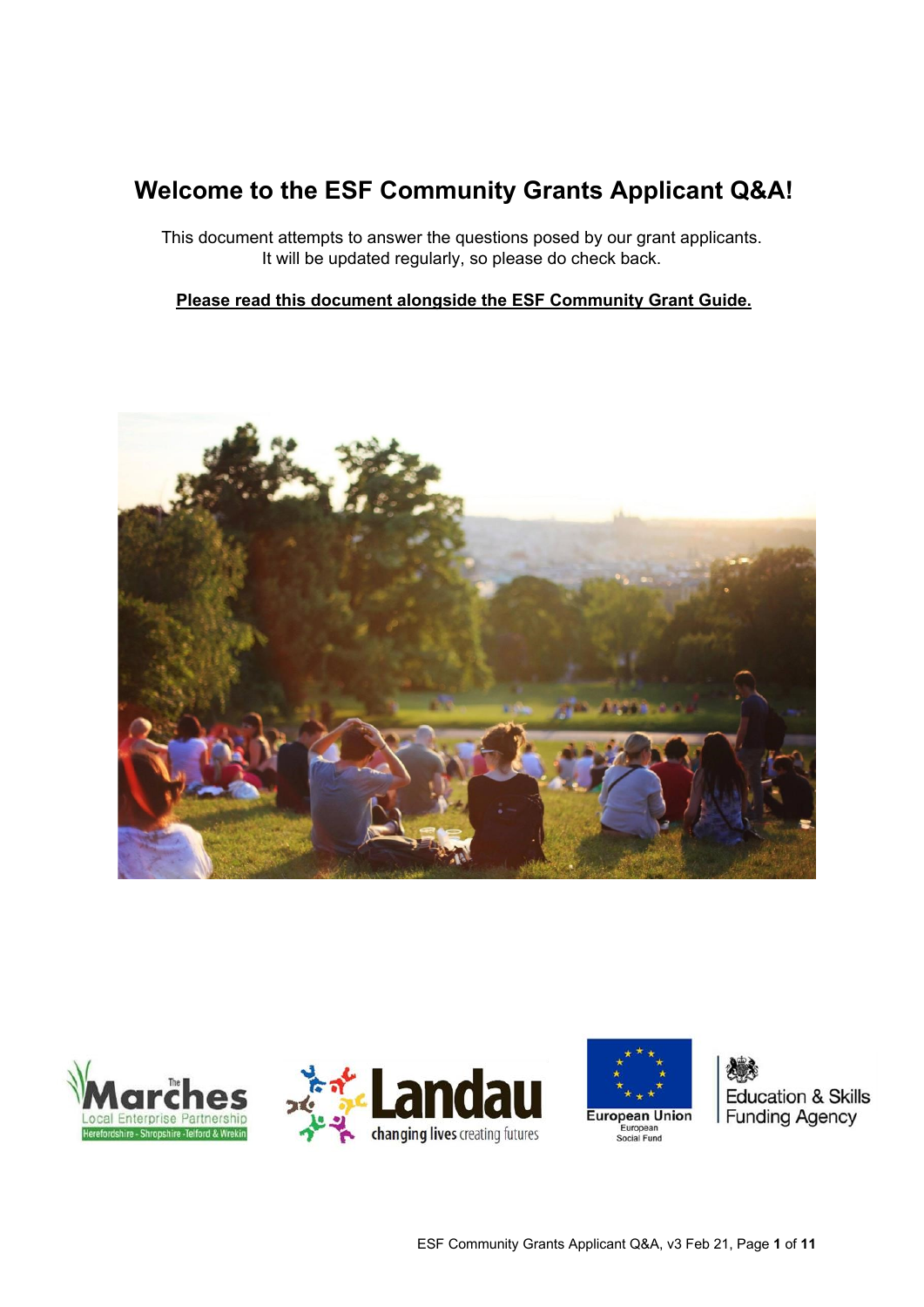# **Welcome to the ESF Community Grants Applicant Q&A!**

This document attempts to answer the questions posed by our grant applicants. It will be updated regularly, so please do check back.

#### **Please read this document alongside the ESF Community Grant Guide.**









**Education & Skills Funding Agency**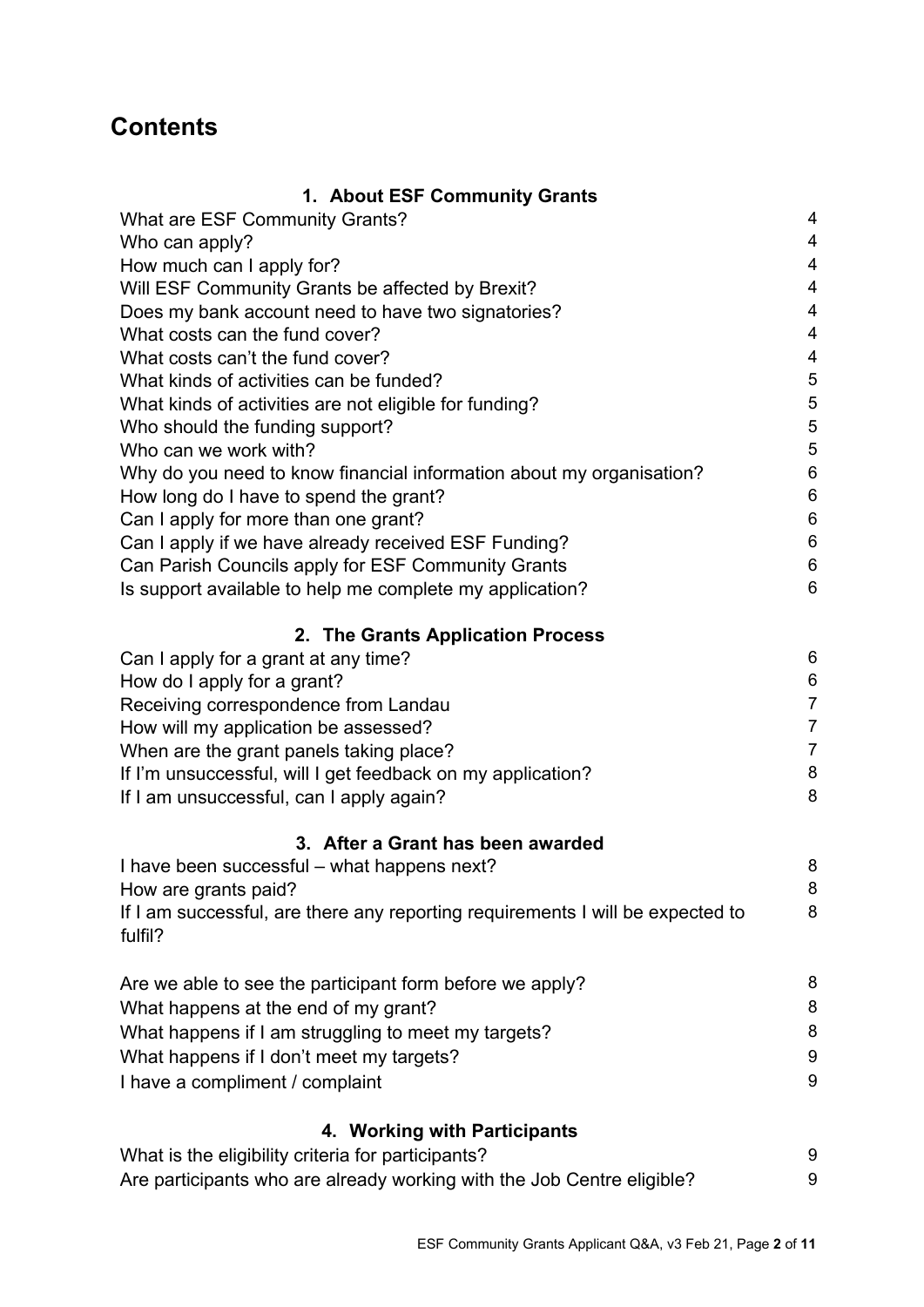## **Contents**

| 1. About ESF Community Grants                                                             |                         |
|-------------------------------------------------------------------------------------------|-------------------------|
| <b>What are ESF Community Grants?</b>                                                     | 4                       |
| Who can apply?                                                                            | $\overline{4}$          |
| How much can I apply for?                                                                 | $\overline{\mathbf{4}}$ |
| Will ESF Community Grants be affected by Brexit?                                          | $\overline{4}$          |
| Does my bank account need to have two signatories?                                        | $\overline{4}$          |
| What costs can the fund cover?                                                            | $\overline{4}$          |
| What costs can't the fund cover?                                                          | $\overline{\mathbf{4}}$ |
| What kinds of activities can be funded?                                                   | $\overline{5}$          |
| What kinds of activities are not eligible for funding?                                    | $\overline{5}$          |
| Who should the funding support?                                                           | $\overline{5}$          |
| Who can we work with?                                                                     | 5                       |
| Why do you need to know financial information about my organisation?                      | $6\phantom{1}6$         |
| How long do I have to spend the grant?                                                    | $\,6\,$                 |
| Can I apply for more than one grant?                                                      | $\,6$                   |
| Can I apply if we have already received ESF Funding?                                      | $\,6$                   |
| Can Parish Councils apply for ESF Community Grants                                        | $\,6$                   |
| Is support available to help me complete my application?                                  | $6\phantom{1}6$         |
| 2. The Grants Application Process                                                         |                         |
| Can I apply for a grant at any time?                                                      | $\,6$                   |
| How do I apply for a grant?                                                               | $\,6$                   |
| Receiving correspondence from Landau                                                      | $\boldsymbol{7}$        |
| How will my application be assessed?                                                      | $\overline{7}$          |
| When are the grant panels taking place?                                                   | $\overline{7}$          |
| If I'm unsuccessful, will I get feedback on my application?                               | $\,8\,$                 |
| If I am unsuccessful, can I apply again?                                                  | 8                       |
| 3. After a Grant has been awarded                                                         |                         |
| I have been successful – what happens next?                                               | 8                       |
| How are grants paid?                                                                      | 8                       |
| If I am successful, are there any reporting requirements I will be expected to<br>fulfil? | 8                       |
| Are we able to see the participant form before we apply?                                  | 8                       |
| What happens at the end of my grant?                                                      | 8                       |
| What happens if I am struggling to meet my targets?                                       | 8                       |
| What happens if I don't meet my targets?                                                  | $9\,$                   |
| I have a compliment / complaint                                                           | 9                       |
| 4. Working with Participants                                                              |                         |
| What is the eligibility criteria for participants?                                        | 9                       |
| Are participants who are already working with the Job Centre eligible?                    | 9                       |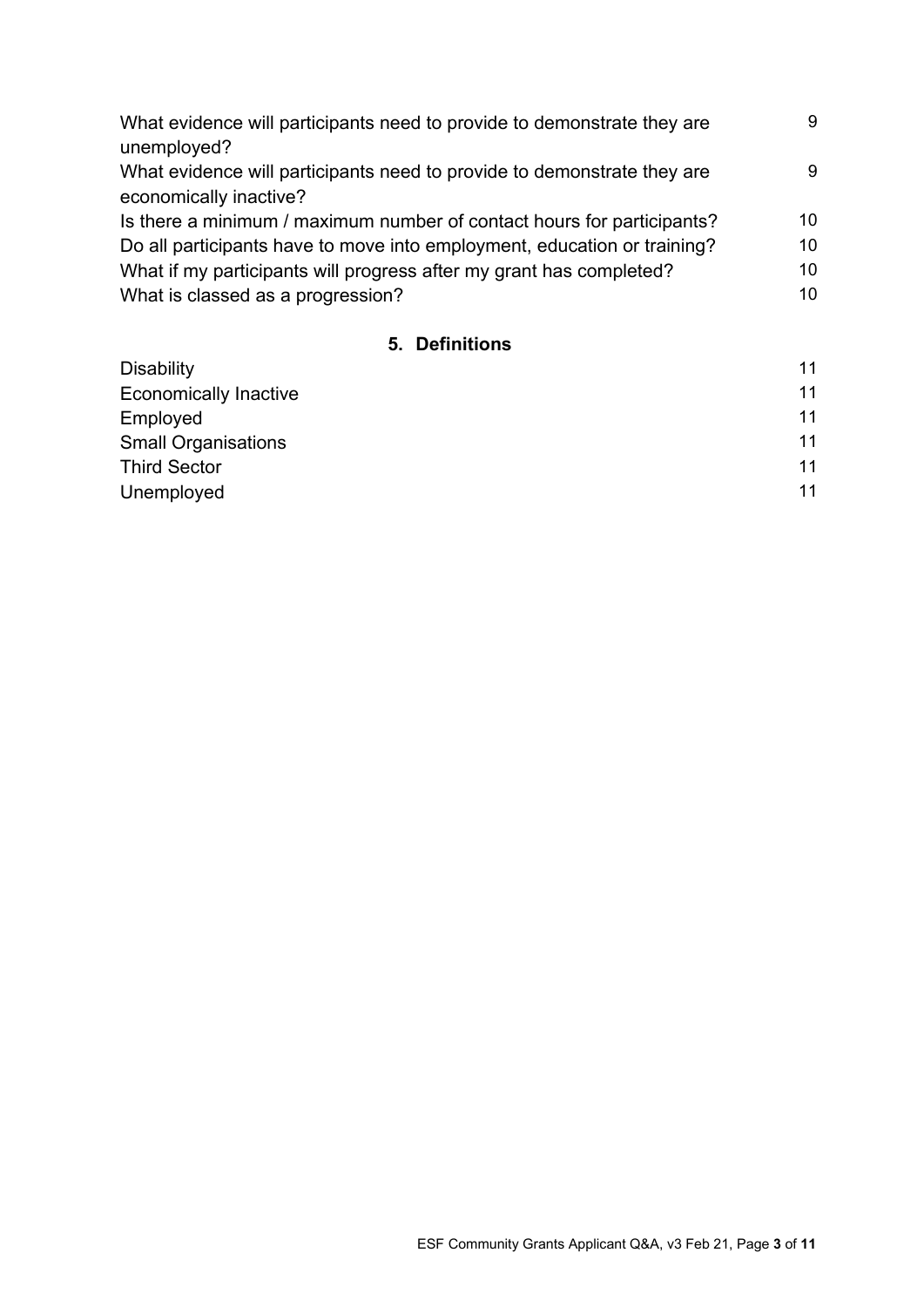| What evidence will participants need to provide to demonstrate they are  | 9  |
|--------------------------------------------------------------------------|----|
| unemployed?                                                              |    |
| What evidence will participants need to provide to demonstrate they are  | 9  |
| economically inactive?                                                   |    |
| Is there a minimum / maximum number of contact hours for participants?   | 10 |
| Do all participants have to move into employment, education or training? | 10 |
| What if my participants will progress after my grant has completed?      | 10 |
| What is classed as a progression?                                        | 10 |
|                                                                          |    |

## **5. Definitions**

| <b>Disability</b>            | 11 |
|------------------------------|----|
| <b>Economically Inactive</b> | 11 |
| Employed                     | 11 |
| <b>Small Organisations</b>   | 11 |
| <b>Third Sector</b>          | 11 |
| Unemployed                   | 11 |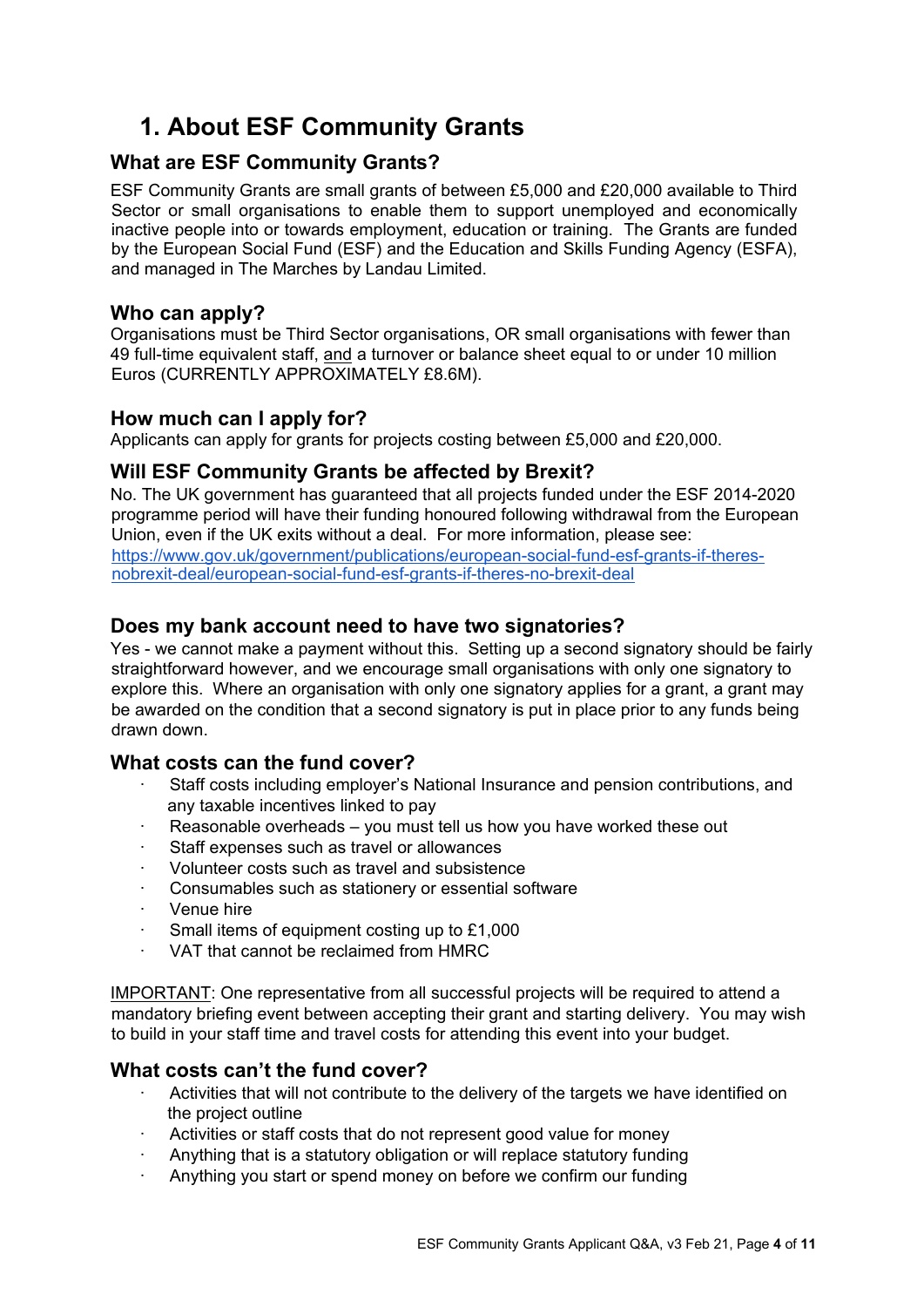# **1. About ESF Community Grants**

## **What are ESF Community Grants?**

ESF Community Grants are small grants of between £5,000 and £20,000 available to Third Sector or small organisations to enable them to support unemployed and economically inactive people into or towards employment, education or training. The Grants are funded by the European Social Fund (ESF) and the Education and Skills Funding Agency (ESFA), and managed in The Marches by Landau Limited.

### **Who can apply?**

Organisations must be Third Sector organisations, OR small organisations with fewer than 49 full-time equivalent staff, and a turnover or balance sheet equal to or under 10 million Euros (CURRENTLY APPROXIMATELY £8.6M).

#### **How much can I apply for?**

Applicants can apply for grants for projects costing between £5,000 and £20,000.

## **Will ESF Community Grants be affected by Brexit?**

No. The UK government has guaranteed that all projects funded under the ESF 2014-2020 programme period will have their funding honoured following withdrawal from the European Union, even if the UK exits without a deal. For more information, please see[:](https://www.gov.uk/government/publications/european-social-fund-esf-grants-if-theres-no-brexit-deal/european-social-fund-esf-grants-if-theres-no-brexit-deal) [https://www.gov.uk/government/publications/european-social-fund-esf-grants-if-theres](https://www.gov.uk/government/publications/european-social-fund-esf-grants-if-theres-no-brexit-deal/european-social-fund-esf-grants-if-theres-no-brexit-deal)[nobrexit-deal/european-social-fund-esf-grants-if-theres-no-brexit-deal](https://www.gov.uk/government/publications/european-social-fund-esf-grants-if-theres-no-brexit-deal/european-social-fund-esf-grants-if-theres-no-brexit-deal)

## **Does my bank account need to have two signatories?**

Yes - we cannot make a payment without this. Setting up a second signatory should be fairly straightforward however, and we encourage small organisations with only one signatory to explore this. Where an organisation with only one signatory applies for a grant, a grant may be awarded on the condition that a second signatory is put in place prior to any funds being drawn down.

#### **What costs can the fund cover?**

- Staff costs including employer's National Insurance and pension contributions, and any taxable incentives linked to pay
- Reasonable overheads you must tell us how you have worked these out
- Staff expenses such as travel or allowances
- · Volunteer costs such as travel and subsistence
- Consumables such as stationery or essential software
- Venue hire
- Small items of equipment costing up to £1,000
- · VAT that cannot be reclaimed from HMRC

IMPORTANT: One representative from all successful projects will be required to attend a mandatory briefing event between accepting their grant and starting delivery. You may wish to build in your staff time and travel costs for attending this event into your budget.

#### **What costs can't the fund cover?**

- · Activities that will not contribute to the delivery of the targets we have identified on the project outline
- Activities or staff costs that do not represent good value for money
- Anything that is a statutory obligation or will replace statutory funding
- Anything you start or spend money on before we confirm our funding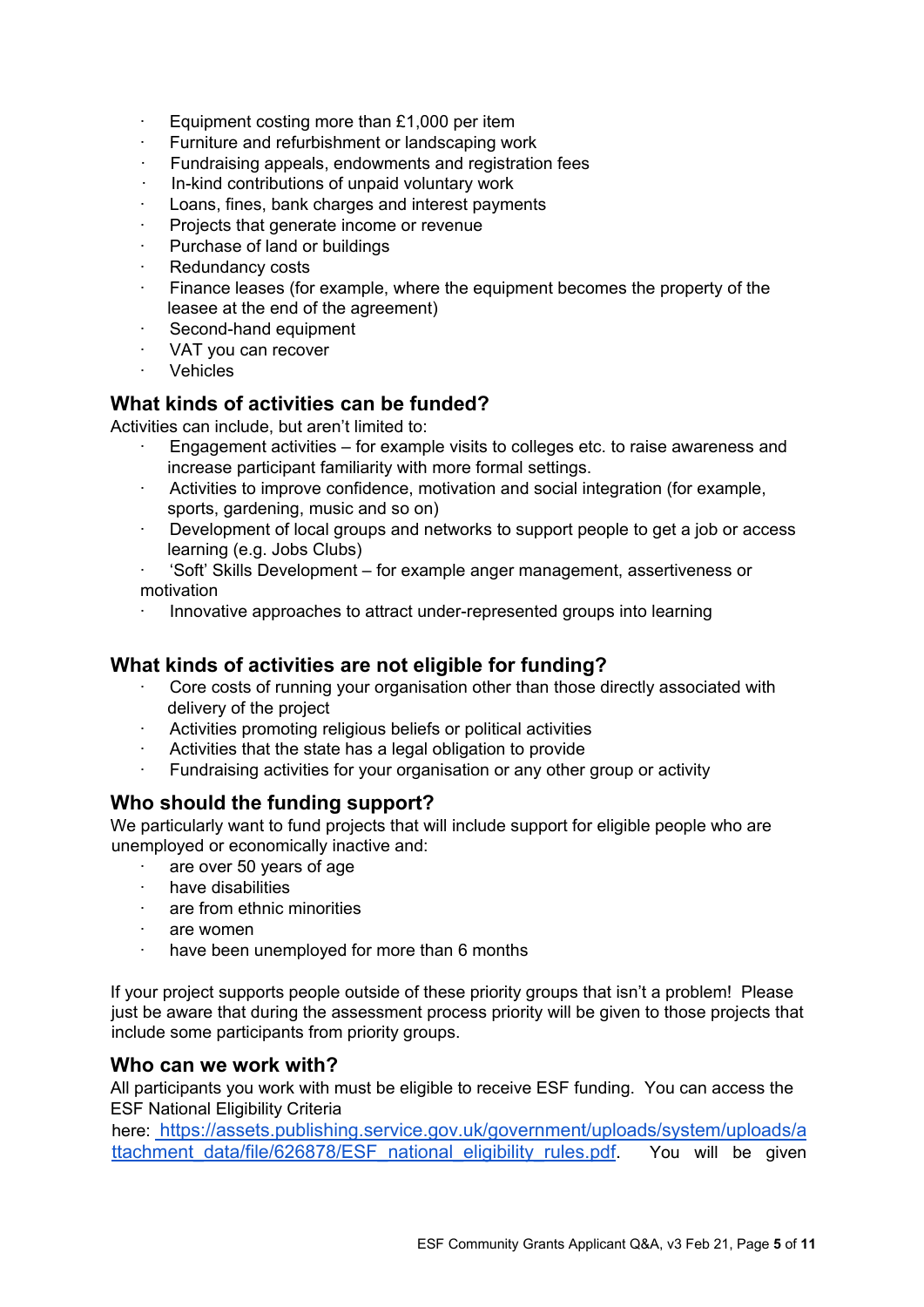- Equipment costing more than £1,000 per item
- Furniture and refurbishment or landscaping work
- Fundraising appeals, endowments and registration fees
- · In-kind contributions of unpaid voluntary work
- Loans, fines, bank charges and interest payments
- Projects that generate income or revenue
- Purchase of land or buildings
- Redundancy costs
- Finance leases (for example, where the equipment becomes the property of the leasee at the end of the agreement)
- Second-hand equipment
- · VAT you can recover
- · Vehicles

#### **What kinds of activities can be funded?**

Activities can include, but aren't limited to:

- · Engagement activities for example visits to colleges etc. to raise awareness and increase participant familiarity with more formal settings.
- · Activities to improve confidence, motivation and social integration (for example, sports, gardening, music and so on)
- · Development of local groups and networks to support people to get a job or access learning (e.g. Jobs Clubs)
- · 'Soft' Skills Development for example anger management, assertiveness or motivation
- · Innovative approaches to attract under-represented groups into learning

## **What kinds of activities are not eligible for funding?**

- Core costs of running your organisation other than those directly associated with delivery of the project
- · Activities promoting religious beliefs or political activities
- Activities that the state has a legal obligation to provide
- Fundraising activities for your organisation or any other group or activity

## **Who should the funding support?**

We particularly want to fund projects that will include support for eligible people who are unemployed or economically inactive and:

- · are over 50 years of age
- have disabilities
- are from ethnic minorities
- · are women
- have been unemployed for more than 6 months

If your project supports people outside of these priority groups that isn't a problem! Please just be aware that during the assessment process priority will be given to those projects that include some participants from priority groups.

#### **Who can we work with?**

All participants you work with must be eligible to receive ESF funding. You can access the ESF National Eligibility Criteria

here: [https://assets.publishing.service.gov.uk/government/uploads/system/uploads/a](https://assets.publishing.service.gov.uk/government/uploads/system/uploads/attachment_data/file/626878/ESF_national_eligibility_rules.pdf)  ttachment data/file/626878/ESF\_national\_eligibility\_rules.pdf. You will be given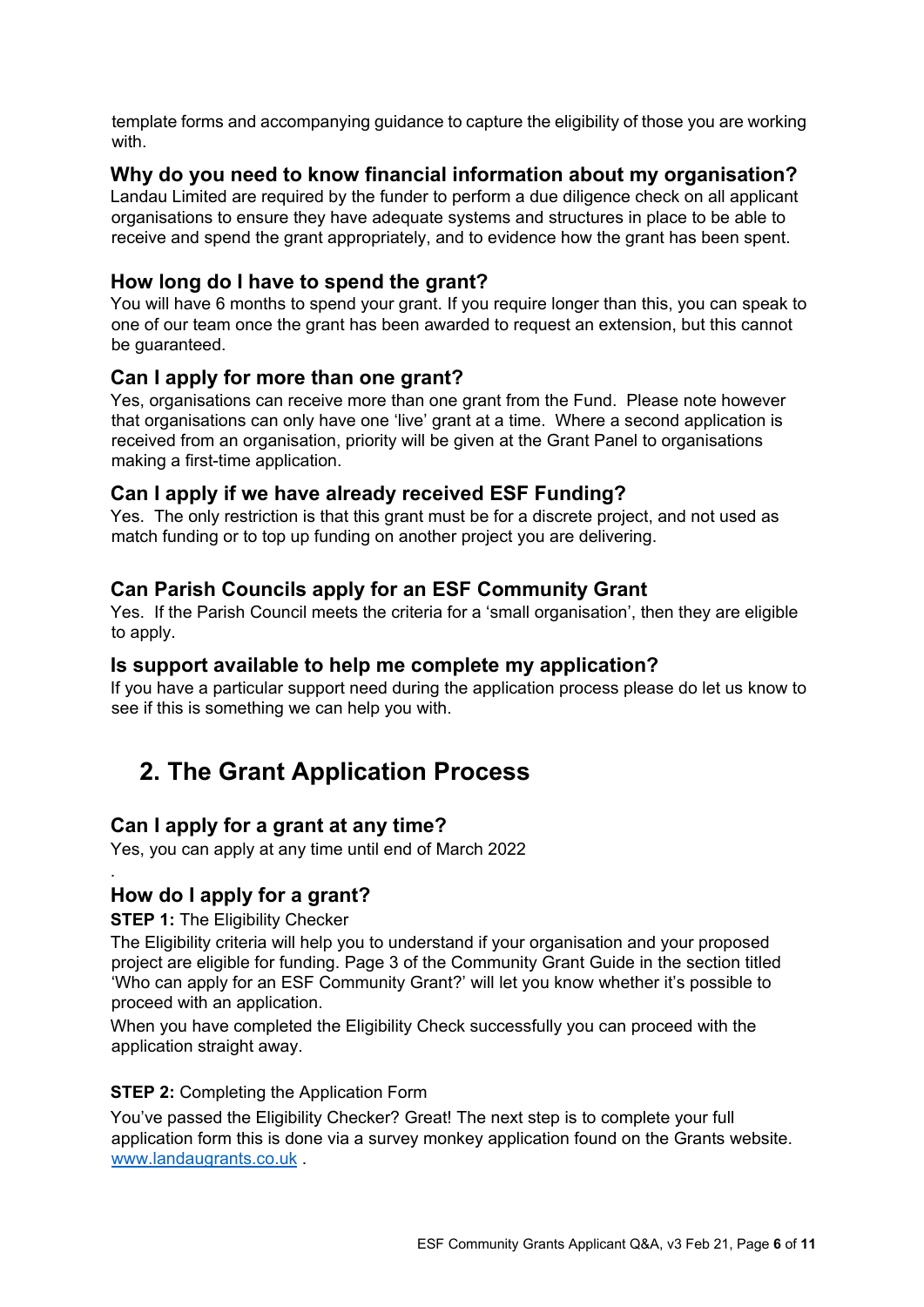template forms and accompanying guidance to capture the eligibility of those you are working with.

#### **Why do you need to know financial information about my organisation?**

Landau Limited are required by the funder to perform a due diligence check on all applicant organisations to ensure they have adequate systems and structures in place to be able to receive and spend the grant appropriately, and to evidence how the grant has been spent.

## **How long do I have to spend the grant?**

You will have 6 months to spend your grant. If you require longer than this, you can speak to one of our team once the grant has been awarded to request an extension, but this cannot be guaranteed.

#### **Can I apply for more than one grant?**

Yes, organisations can receive more than one grant from the Fund. Please note however that organisations can only have one 'live' grant at a time. Where a second application is received from an organisation, priority will be given at the Grant Panel to organisations making a first-time application.

#### **Can I apply if we have already received ESF Funding?**

Yes. The only restriction is that this grant must be for a discrete project, and not used as match funding or to top up funding on another project you are delivering.

## **Can Parish Councils apply for an ESF Community Grant**

Yes. If the Parish Council meets the criteria for a 'small organisation', then they are eligible to apply.

#### **Is support available to help me complete my application?**

If you have a particular support need during the application process please do let us know to see if this is something we can help you with.

## **2. The Grant Application Process**

#### **Can I apply for a grant at any time?**

Yes, you can apply at any time until end of March 2022

## **How do I apply for a grant?**

**STEP 1: The Eligibility Checker** 

.

The Eligibility criteria will help you to understand if your organisation and your proposed project are eligible for funding. Page 3 of the Community Grant Guide in the section titled 'Who can apply for an ESF Community Grant?' will let you know whether it's possible to proceed with an application.

When you have completed the Eligibility Check successfully you can proceed with the application straight away.

#### **STEP 2: Completing the Application Form**

You've passed the Eligibility Checker? Great! The next step is to complete your full application form this is done via a survey monkey application found on the Grants website. [www.landaugrants.co.uk](http://www.landaugrants.co.uk/) .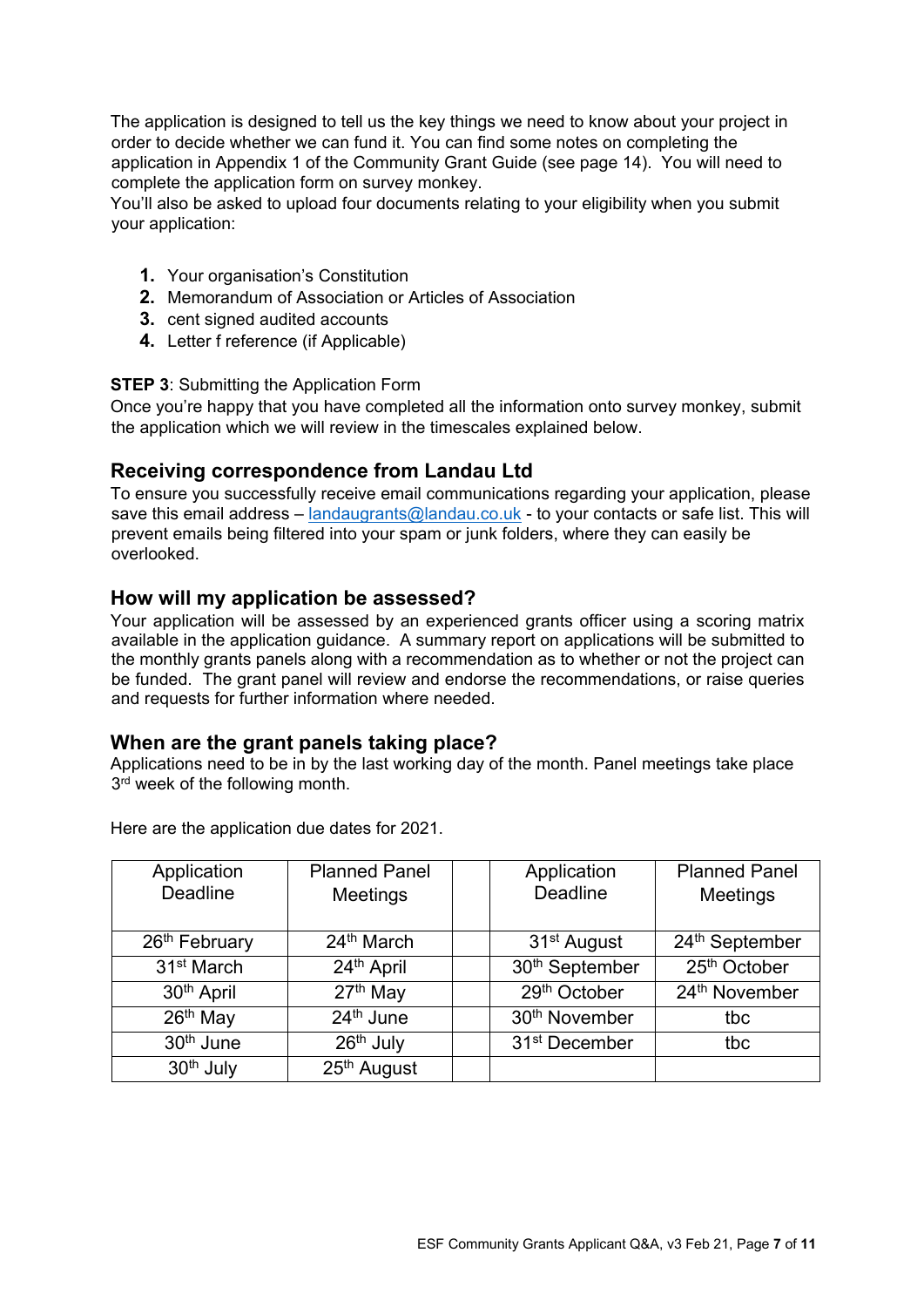The application is designed to tell us the key things we need to know about your project in order to decide whether we can fund it. You can find some notes on completing the application in Appendix 1 of the Community Grant Guide (see page 14). You will need to complete the application form on survey monkey.

You'll also be asked to upload four documents relating to your eligibility when you submit your application:

- **1.** Your organisation's Constitution
- **2.** Memorandum of Association or Articles of Association
- **3.** cent signed audited accounts
- **4.** Letter f reference (if Applicable)

#### **STEP 3: Submitting the Application Form**

Once you're happy that you have completed all the information onto survey monkey, submit the application which we will review in the timescales explained below.

#### **Receiving correspondence from Landau Ltd**

To ensure you successfully receive email communications regarding your application, please save this email address – landaugrants@landau.co.uk - to your contacts or safe list. This will prevent emails being filtered into your spam or junk folders, where they can easily be overlooked.

#### **How will my application be assessed?**

Your application will be assessed by an experienced grants officer using a scoring matrix available in the application guidance. A summary report on applications will be submitted to the monthly grants panels along with a recommendation as to whether or not the project can be funded. The grant panel will review and endorse the recommendations, or raise queries and requests for further information where needed.

#### **When are the grant panels taking place?**

Applications need to be in by the last working day of the month. Panel meetings take place  $3<sup>rd</sup>$  week of the following month.

| Application               | <b>Planned Panel</b>    | Application                | <b>Planned Panel</b> |
|---------------------------|-------------------------|----------------------------|----------------------|
| <b>Deadline</b>           | <b>Meetings</b>         | <b>Deadline</b>            | Meetings             |
|                           |                         |                            |                      |
| 26 <sup>th</sup> February | 24 <sup>th</sup> March  | 31 <sup>st</sup> August    | 24th September       |
| 31 <sup>st</sup> March    | 24 <sup>th</sup> April  | 30 <sup>th</sup> September | 25th October         |
| 30 <sup>th</sup> April    | 27 <sup>th</sup> May    | 29th October               | 24th November        |
| $\overline{26^{th}}$ May  | $24th$ June             | 30 <sup>th</sup> November  | tbc                  |
| 30 <sup>th</sup> June     | 26th July               | 31 <sup>st</sup> December  | tbc                  |
| 30 <sup>th</sup> July     | 25 <sup>th</sup> August |                            |                      |

Here are the application due dates for 2021.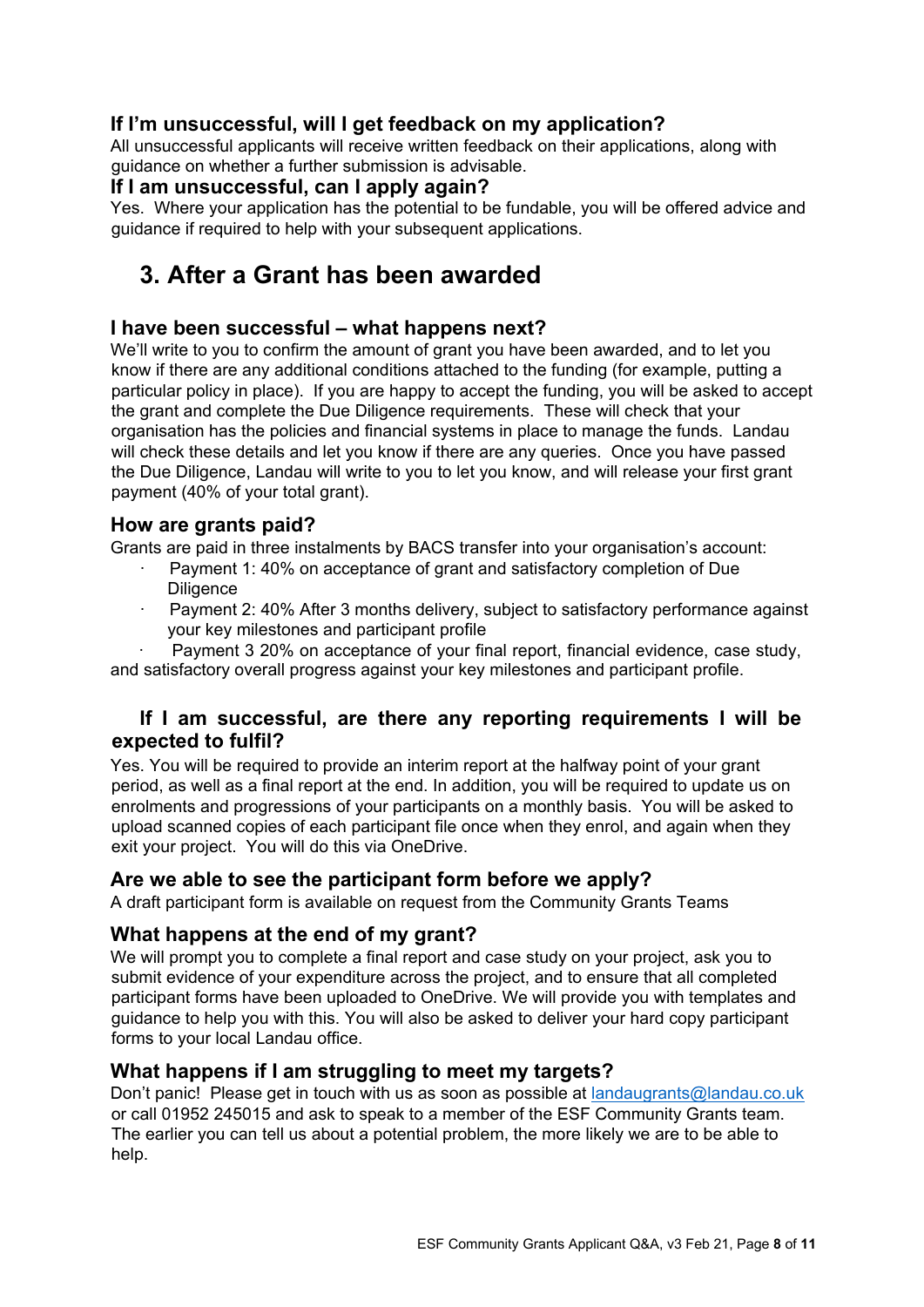## **If I'm unsuccessful, will I get feedback on my application?**

All unsuccessful applicants will receive written feedback on their applications, along with guidance on whether a further submission is advisable.

#### **If I am unsuccessful, can I apply again?**

Yes. Where your application has the potential to be fundable, you will be offered advice and guidance if required to help with your subsequent applications.

## **3. After a Grant has been awarded**

## **I have been successful – what happens next?**

We'll write to you to confirm the amount of grant you have been awarded, and to let you know if there are any additional conditions attached to the funding (for example, putting a particular policy in place). If you are happy to accept the funding, you will be asked to accept the grant and complete the Due Diligence requirements. These will check that your organisation has the policies and financial systems in place to manage the funds. Landau will check these details and let you know if there are any queries. Once you have passed the Due Diligence, Landau will write to you to let you know, and will release your first grant payment (40% of your total grant).

## **How are grants paid?**

Grants are paid in three instalments by BACS transfer into your organisation's account:

- · Payment 1: 40% on acceptance of grant and satisfactory completion of Due **Diligence**
- Payment 2: 40% After 3 months delivery, subject to satisfactory performance against your key milestones and participant profile

· Payment 3 20% on acceptance of your final report, financial evidence, case study, and satisfactory overall progress against your key milestones and participant profile.

## **If I am successful, are there any reporting requirements I will be expected to fulfil?**

Yes. You will be required to provide an interim report at the halfway point of your grant period, as well as a final report at the end. In addition, you will be required to update us on enrolments and progressions of your participants on a monthly basis. You will be asked to upload scanned copies of each participant file once when they enrol, and again when they exit your project. You will do this via OneDrive.

## **Are we able to see the participant form before we apply?**

A draft participant form is available on request from the Community Grants Teams

## **What happens at the end of my grant?**

We will prompt you to complete a final report and case study on your project, ask you to submit evidence of your expenditure across the project, and to ensure that all completed participant forms have been uploaded to OneDrive. We will provide you with templates and guidance to help you with this. You will also be asked to deliver your hard copy participant forms to your local Landau office.

## **What happens if I am struggling to meet my targets?**

Don't panic! Please get in touch with us as soon as possible at landaugrants@landau.co.uk or call 01952 245015 and ask to speak to a member of the ESF Community Grants team. The earlier you can tell us about a potential problem, the more likely we are to be able to help.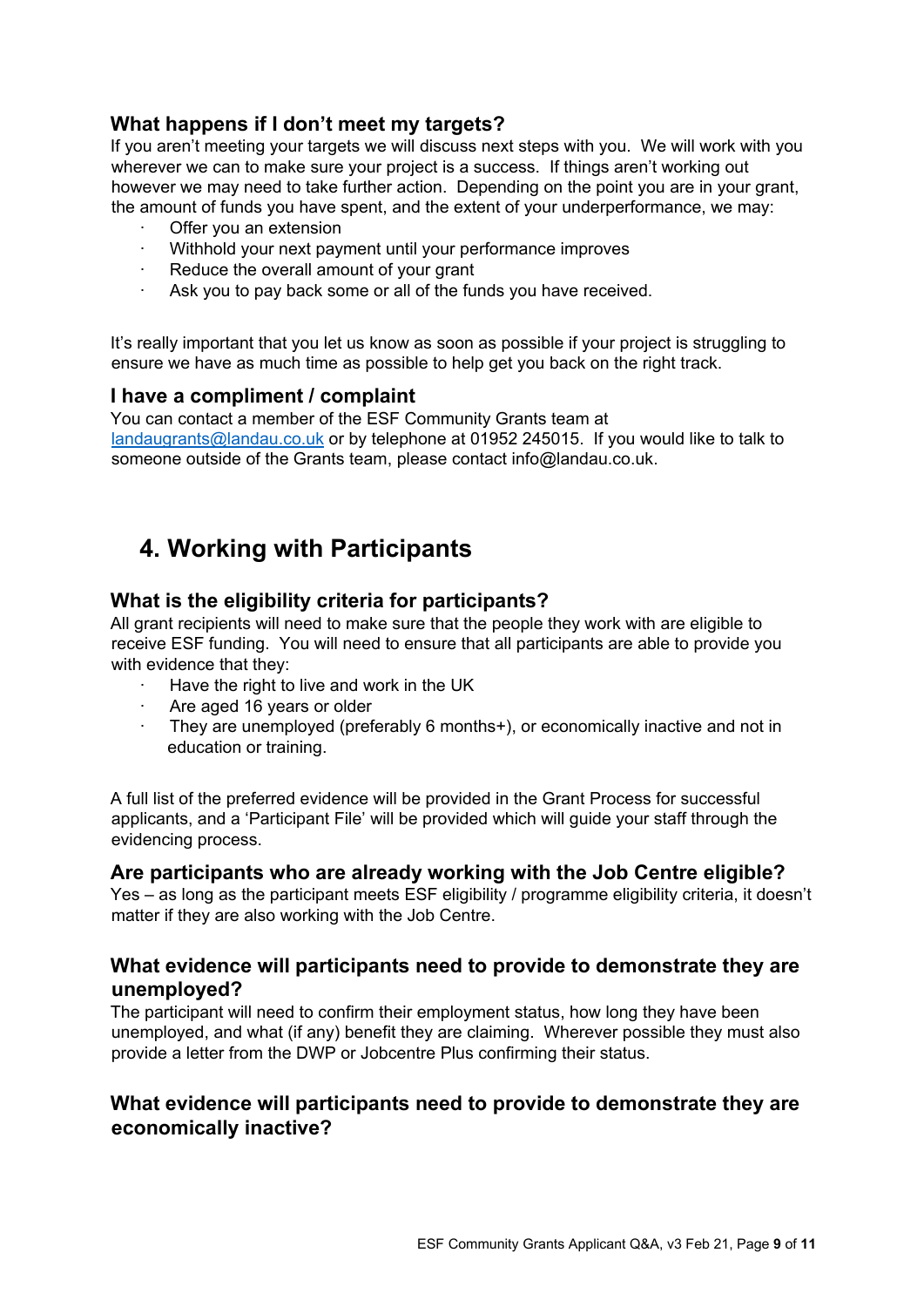## **What happens if I don't meet my targets?**

If you aren't meeting your targets we will discuss next steps with you. We will work with you wherever we can to make sure your project is a success. If things aren't working out however we may need to take further action. Depending on the point you are in your grant, the amount of funds you have spent, and the extent of your underperformance, we may:

- Offer you an extension
- · Withhold your next payment until your performance improves
- Reduce the overall amount of your grant
- · Ask you to pay back some or all of the funds you have received.

It's really important that you let us know as soon as possible if your project is struggling to ensure we have as much time as possible to help get you back on the right track.

#### **I have a compliment / complaint**

You can contact a member of the ESF Community Grants team at landaugrants@landau.co.uk or by telephone at 01952 245015. If you would like to talk to someone outside of the Grants team, please contact info@landau.co.uk.

## **4. Working with Participants**

#### **What is the eligibility criteria for participants?**

All grant recipients will need to make sure that the people they work with are eligible to receive ESF funding. You will need to ensure that all participants are able to provide you with evidence that they:

- Have the right to live and work in the UK
- · Are aged 16 years or older
- · They are unemployed (preferably 6 months+), or economically inactive and not in education or training.

A full list of the preferred evidence will be provided in the Grant Process for successful applicants, and a 'Participant File' will be provided which will guide your staff through the evidencing process.

#### **Are participants who are already working with the Job Centre eligible?**

Yes – as long as the participant meets ESF eligibility / programme eligibility criteria, it doesn't matter if they are also working with the Job Centre.

#### **What evidence will participants need to provide to demonstrate they are unemployed?**

The participant will need to confirm their employment status, how long they have been unemployed, and what (if any) benefit they are claiming. Wherever possible they must also provide a letter from the DWP or Jobcentre Plus confirming their status.

## **What evidence will participants need to provide to demonstrate they are economically inactive?**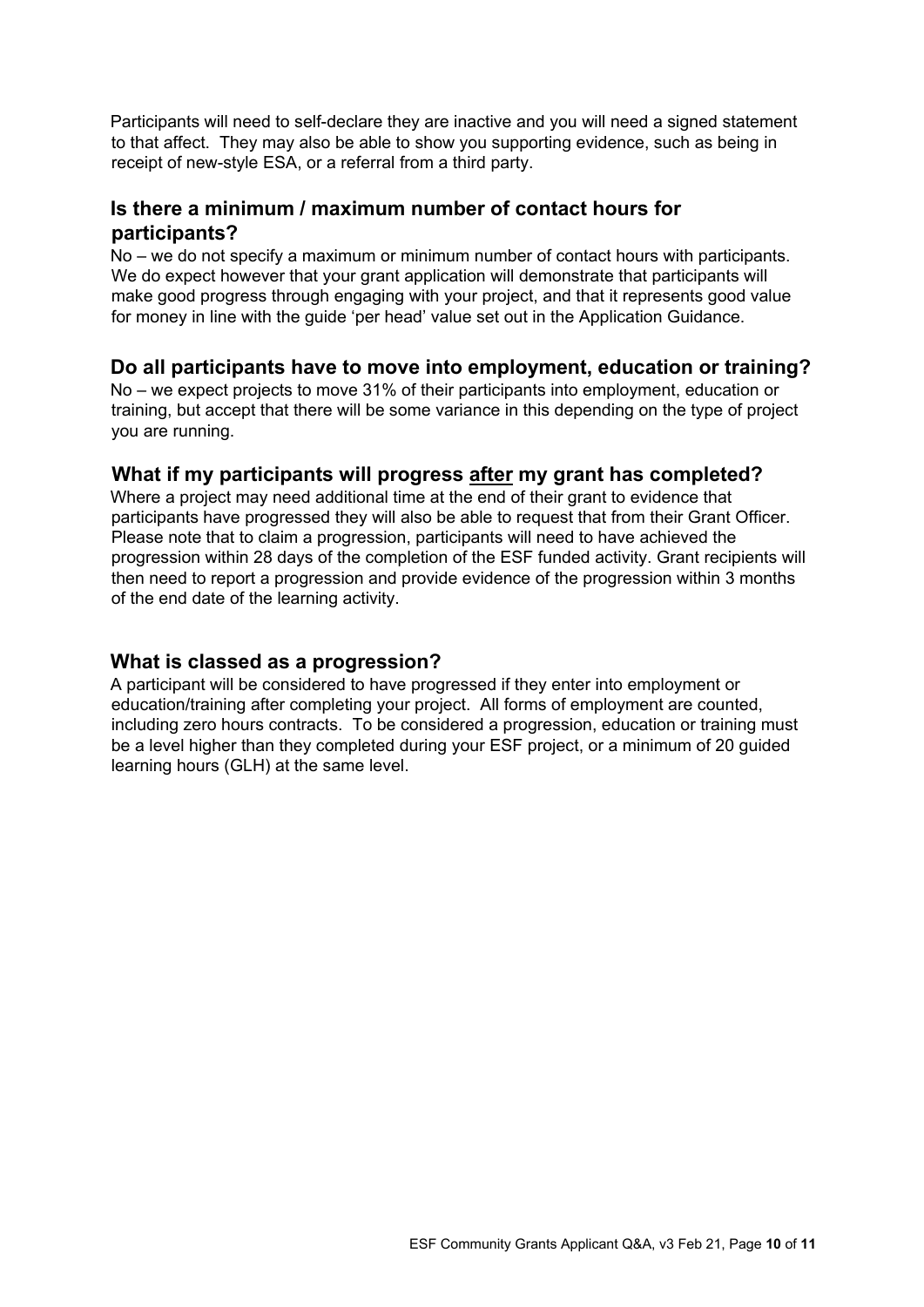Participants will need to self-declare they are inactive and you will need a signed statement to that affect. They may also be able to show you supporting evidence, such as being in receipt of new-style ESA, or a referral from a third party.

## **Is there a minimum / maximum number of contact hours for participants?**

No – we do not specify a maximum or minimum number of contact hours with participants. We do expect however that your grant application will demonstrate that participants will make good progress through engaging with your project, and that it represents good value for money in line with the guide 'per head' value set out in the Application Guidance.

## **Do all participants have to move into employment, education or training?**

No – we expect projects to move 31% of their participants into employment, education or training, but accept that there will be some variance in this depending on the type of project you are running.

#### **What if my participants will progress after my grant has completed?**

Where a project may need additional time at the end of their grant to evidence that participants have progressed they will also be able to request that from their Grant Officer. Please note that to claim a progression, participants will need to have achieved the progression within 28 days of the completion of the ESF funded activity. Grant recipients will then need to report a progression and provide evidence of the progression within 3 months of the end date of the learning activity.

#### **What is classed as a progression?**

A participant will be considered to have progressed if they enter into employment or education/training after completing your project. All forms of employment are counted, including zero hours contracts. To be considered a progression, education or training must be a level higher than they completed during your ESF project, or a minimum of 20 guided learning hours (GLH) at the same level.